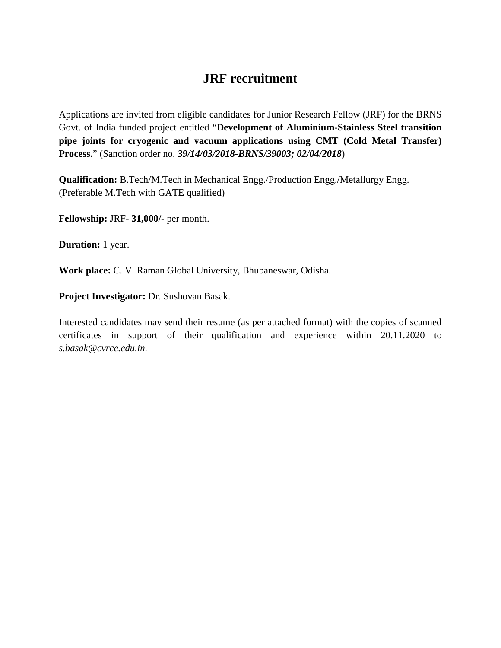# **JRF recruitment**

Applications are invited from eligible candidates for Junior Research Fellow (JRF) for the BRNS Govt. of India funded project entitled "**Development of Aluminium-Stainless Steel transition pipe joints for cryogenic and vacuum applications using CMT (Cold Metal Transfer) Process.**" (Sanction order no. *39/14/03/2018-BRNS/39003; 02/04/2018*)

**Qualification:** B.Tech/M.Tech in Mechanical Engg./Production Engg./Metallurgy Engg. (Preferable M.Tech with GATE qualified)

**Fellowship:** JRF- **31,000/-** per month.

**Duration:** 1 year.

**Work place:** C. V. Raman Global University, Bhubaneswar, Odisha.

**Project Investigator:** Dr. Sushovan Basak.

Interested candidates may send their resume (as per attached format) with the copies of scanned certificates in support of their qualification and experience within 20.11.2020 to *s.basak@cvrce.edu.in*.